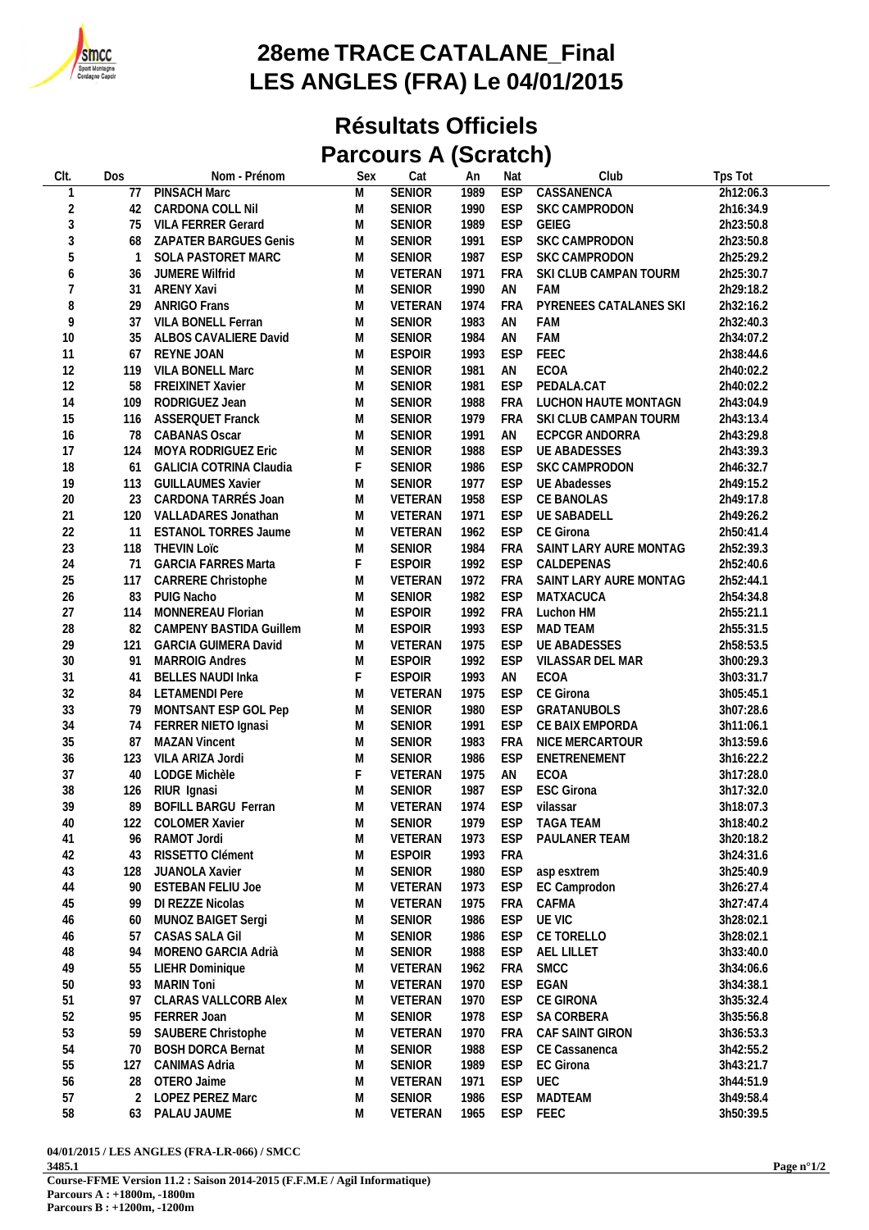

## **28eme TRACE CATALANE\_Final LES ANGLES (FRA) Le 04/01/2015**

## **Résultats Officiels Parcours A (Scratch)**

| CIt.           | Dos | Nom - Prénom                   | Sex         | Cat           | An   | Nat        | Club                   | Tps Tot   |
|----------------|-----|--------------------------------|-------------|---------------|------|------------|------------------------|-----------|
| $\mathbf{1}$   | 77  | PINSACH Marc                   | M           | <b>SENIOR</b> | 1989 | <b>ESP</b> | CASSANENCA             | 2h12:06.3 |
| $\sqrt{2}$     | 42  | CARDONA COLL Nil               | M           | <b>SENIOR</b> | 1990 | ESP        | SKC CAMPRODON          | 2h16:34.9 |
| 3              | 75  | <b>VILA FERRER Gerard</b>      | M           | <b>SENIOR</b> | 1989 | ESP        | GEIEG                  | 2h23:50.8 |
| 3              | 68  | ZAPATER BARGUES Genis          | M           | <b>SENIOR</b> | 1991 | ESP        | SKC CAMPRODON          | 2h23:50.8 |
| 5              | -1  | SOLA PASTORET MARC             | M           | <b>SENIOR</b> | 1987 | <b>ESP</b> | SKC CAMPRODON          | 2h25:29.2 |
|                |     |                                |             | VETERAN       |      |            |                        |           |
| 6              | 36  | JUMERE Wilfrid                 | M           |               | 1971 | <b>FRA</b> | SKI CLUB CAMPAN TOURM  | 2h25:30.7 |
| $\overline{7}$ | 31  | ARENY Xavi                     | M           | <b>SENIOR</b> | 1990 | AN         | FAM                    | 2h29:18.2 |
| $\, 8$         | 29  | <b>ANRIGO Frans</b>            | ${\sf M}$   | VETERAN       | 1974 | FRA        | PYRENEES CATALANES SKI | 2h32:16.2 |
| 9              | 37  | VILA BONELL Ferran             | M           | <b>SENIOR</b> | 1983 | AN         | FAM                    | 2h32:40.3 |
| $10$           | 35  | ALBOS CAVALIERE David          | M           | <b>SENIOR</b> | 1984 | AN         | FAM                    | 2h34:07.2 |
| 11             | 67  | <b>REYNE JOAN</b>              | M           | <b>ESPOIR</b> | 1993 | ESP        | FEEC                   | 2h38:44.6 |
| 12             | 119 | VILA BONELL Marc               | M           | <b>SENIOR</b> | 1981 | AN         | ECOA                   | 2h40:02.2 |
| 12             | 58  | <b>FREIXINET Xavier</b>        | M           | <b>SENIOR</b> | 1981 | <b>ESP</b> | PEDALA.CAT             | 2h40:02.2 |
| 14             | 109 | RODRIGUEZ Jean                 | M           | <b>SENIOR</b> | 1988 | <b>FRA</b> | LUCHON HAUTE MONTAGN   | 2h43:04.9 |
| 15             | 116 | <b>ASSERQUET Franck</b>        | M           | <b>SENIOR</b> | 1979 | FRA        | SKI CLUB CAMPAN TOURM  | 2h43:13.4 |
| 16             | 78  | <b>CABANAS Oscar</b>           | M           | <b>SENIOR</b> | 1991 | AN         | ECPCGR ANDORRA         | 2h43:29.8 |
| 17             | 124 | MOYA RODRIGUEZ Eric            | M           | <b>SENIOR</b> | 1988 | ESP        | <b>UE ABADESSES</b>    | 2h43:39.3 |
| $18$           | 61  | <b>GALICIA COTRINA Claudia</b> | F           | <b>SENIOR</b> | 1986 | ESP        | <b>SKC CAMPRODON</b>   | 2h46:32.7 |
| 19             | 113 |                                | M           | <b>SENIOR</b> | 1977 | ESP        | <b>UE Abadesses</b>    |           |
|                |     | <b>GUILLAUMES Xavier</b>       |             |               |      |            |                        | 2h49:15.2 |
| $20\,$         | 23  | CARDONA TARRÉS Joan            | M           | VETERAN       | 1958 | ESP        | CE BANOLAS             | 2h49:17.8 |
| 21             | 120 | VALLADARES Jonathan            | M           | VETERAN       | 1971 | ESP        | <b>UE SABADELL</b>     | 2h49:26.2 |
| 22             | 11  | <b>ESTANOL TORRES Jaume</b>    | M           | VETERAN       | 1962 | ESP        | CE Girona              | 2h50:41.4 |
| 23             | 118 | <b>THEVIN LOIC</b>             | M           | <b>SENIOR</b> | 1984 | FRA        | SAINT LARY AURE MONTAG | 2h52:39.3 |
| 24             | 71  | <b>GARCIA FARRES Marta</b>     | $\mathsf F$ | <b>ESPOIR</b> | 1992 | ESP        | CALDEPENAS             | 2h52:40.6 |
| 25             | 117 | CARRERE Christophe             | M           | VETERAN       | 1972 | <b>FRA</b> | SAINT LARY AURE MONTAG | 2h52:44.1 |
| 26             | 83  | PUIG Nacho                     | M           | <b>SENIOR</b> | 1982 | <b>ESP</b> | MATXACUCA              | 2h54:34.8 |
| 27             | 114 | MONNEREAU Florian              | M           | <b>ESPOIR</b> | 1992 | <b>FRA</b> | Luchon HM              | 2h55:21.1 |
| 28             | 82  | CAMPENY BASTIDA Guillem        | M           | <b>ESPOIR</b> | 1993 | ESP        | MAD TEAM               | 2h55:31.5 |
| 29             | 121 | <b>GARCIA GUIMERA David</b>    | M           | VETERAN       | 1975 | ESP        | <b>UE ABADESSES</b>    | 2h58:53.5 |
| $30\,$         | 91  | <b>MARROIG Andres</b>          | M           | <b>ESPOIR</b> | 1992 | ESP        | VILASSAR DEL MAR       | 3h00:29.3 |
| 31             |     | <b>BELLES NAUDI Inka</b>       | F           | <b>ESPOIR</b> | 1993 | AN         | ECOA                   | 3h03:31.7 |
|                | 41  |                                |             |               |      |            |                        |           |
| 32             | 84  | <b>LETAMENDI Pere</b>          | M           | VETERAN       | 1975 | <b>ESP</b> | CE Girona              | 3h05:45.1 |
| 33             | 79  | MONTSANT ESP GOL Pep           | M           | <b>SENIOR</b> | 1980 | <b>ESP</b> | GRATANUBOLS            | 3h07:28.6 |
| 34             | 74  | FERRER NIETO Ignasi            | M           | <b>SENIOR</b> | 1991 | ESP        | CE BAIX EMPORDA        | 3h11:06.1 |
| 35             | 87  | <b>MAZAN Vincent</b>           | M           | <b>SENIOR</b> | 1983 | FRA        | NICE MERCARTOUR        | 3h13:59.6 |
| 36             | 123 | VILA ARIZA Jordi               | M           | <b>SENIOR</b> | 1986 | ESP        | ENETRENEMENT           | 3h16:22.2 |
| 37             | 40  | LODGE Michèle                  | F           | VETERAN       | 1975 | AN         | ECOA                   | 3h17:28.0 |
| 38             | 126 | RIUR Ignasi                    | M           | <b>SENIOR</b> | 1987 | ESP        | <b>ESC Girona</b>      | 3h17:32.0 |
| 39             | 89  | <b>BOFILL BARGU Ferran</b>     | M           | VETERAN       | 1974 | ESP        | vilassar               | 3h18:07.3 |
| $40\,$         | 122 | <b>COLOMER Xavier</b>          | M           | SENIOR        | 1979 | <b>ESP</b> | <b>TAGA TEAM</b>       | 3h18:40.2 |
| 41             | 96  | RAMOT Jordi                    | M           | VETERAN       | 1973 | <b>ESP</b> | PAULANER TEAM          | 3h20:18.2 |
| 42             | 43  | RISSETTO Clément               | M           | <b>ESPOIR</b> | 1993 | <b>FRA</b> |                        | 3h24:31.6 |
| 43             | 128 | JUANOLA Xavier                 | M           | <b>SENIOR</b> | 1980 | ESP        | asp esxtrem            | 3h25:40.9 |
|                |     |                                |             |               |      |            |                        |           |
| 44             | 90  | <b>ESTEBAN FELIU Joe</b>       | M           | VETERAN       | 1973 | ESP        | EC Camprodon           | 3h26:27.4 |
| 45             | 99  | DI REZZE Nicolas               | M           | VETERAN       | 1975 | FRA        | CAFMA                  | 3h27:47.4 |
| 46             | 60  | MUNOZ BAIGET Sergi             | M           | <b>SENIOR</b> | 1986 | ESP        | UE VIC                 | 3h28:02.1 |
| 46             | 57  | CASAS SALA Gil                 | M           | <b>SENIOR</b> | 1986 | ESP        | CE TORELLO             | 3h28:02.1 |
| 48             | 94  | MORENO GARCIA Adrià            | M           | <b>SENIOR</b> | 1988 | ESP        | AEL LILLET             | 3h33:40.0 |
| 49             | 55  | LIEHR Dominique                | M           | VETERAN       | 1962 | <b>FRA</b> | SMCC                   | 3h34:06.6 |
| $50\,$         | 93  | <b>MARIN Toni</b>              | M           | VETERAN       | 1970 | ESP        | EGAN                   | 3h34:38.1 |
| 51             | 97  | <b>CLARAS VALLCORB Alex</b>    | M           | VETERAN       | 1970 | <b>ESP</b> | CE GIRONA              | 3h35:32.4 |
| 52             | 95  | FERRER Joan                    | M           | <b>SENIOR</b> | 1978 | ESP        | SA CORBERA             | 3h35:56.8 |
| 53             | 59  | SAUBERE Christophe             | M           | VETERAN       | 1970 | FRA        | CAF SAINT GIRON        | 3h36:53.3 |
| 54             | 70  | <b>BOSH DORCA Bernat</b>       | M           | <b>SENIOR</b> | 1988 | <b>ESP</b> | CE Cassanenca          | 3h42:55.2 |
|                |     |                                |             |               |      |            | EC Girona              |           |
| 55             | 127 | <b>CANIMAS Adria</b>           | M           | <b>SENIOR</b> | 1989 | ESP        |                        | 3h43:21.7 |
| 56             | 28  | OTERO Jaime                    | M           | VETERAN       | 1971 | ESP        | UEC                    | 3h44:51.9 |
| 57             | 2   | LOPEZ PEREZ Marc               | M           | <b>SENIOR</b> | 1986 | ESP        | MADTEAM                | 3h49:58.4 |
| 58             | 63  | PALAU JAUME                    | M           | VETERAN       | 1965 | ESP        | FEEC                   | 3h50:39.5 |